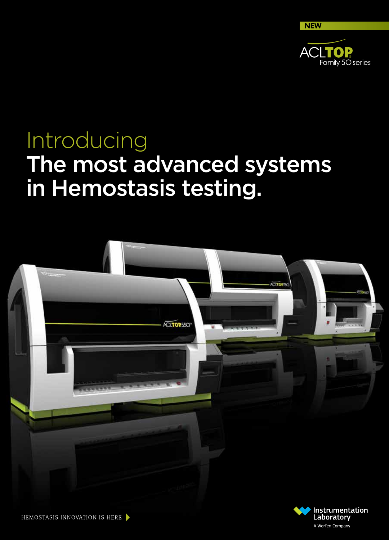

A Werfen Company

# Introducing The most advanced systems in Hemostasis testing.



HEMOSTASIS INNOVATION IS HERE.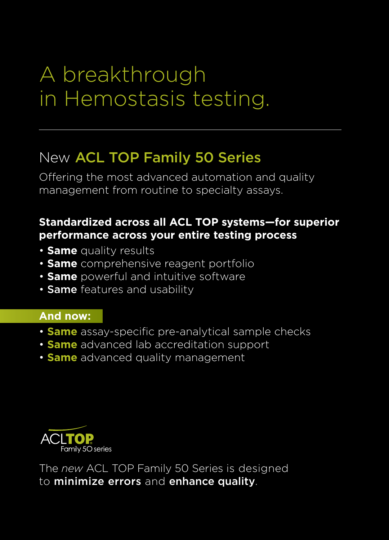# A breakthrough in Hemostasis testing.

## New ACL TOP Family 50 Series

Offering the most advanced automation and quality management from routine to specialty assays.

## **Standardized across all ACL TOP systems—for superior performance across your entire testing process**

- **Same** quality results
- **Same** comprehensive reagent portfolio
- **Same** powerful and intuitive software
- Same features and usability

## **And now:**

- **Same** assay-specific pre-analytical sample checks
- **Same** advanced lab accreditation support
- **Same** advanced quality management



The *new* ACL TOP Family 50 Series is designed to minimize errors and enhance quality.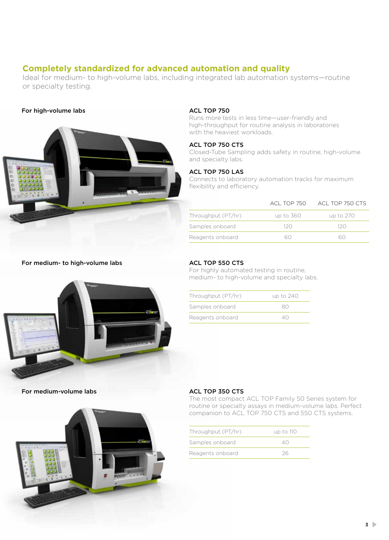## **Completely standardized for advanced automation and quality**

Ideal for medium- to high-volume labs, including integrated lab automation systems—routine or specialty testing.

### For high-volume labs



#### ACL TOP 750

Runs more tests in less time—user-friendly and high-throughput for routine analysis in laboratories with the heaviest workloads.

### ACL TOP 750 CTS

Closed-Tube Sampling adds safety in routine, high-volume and specialty labs.

#### ACL TOP 750 LAS

Connects to laboratory automation tracks for maximum flexibility and efficiency.

|                    | ACL TOP 750 | ACL TOP 750 CTS |
|--------------------|-------------|-----------------|
| Throughput (PT/hr) | up to 360   | up to 270       |
| Samples onboard    | 12 O        | 12 O            |
| Reagents onboard   |             |                 |

#### For medium- to high-volume labs



### ACL TOP 550 CTS

For highly automated testing in routine, medium- to high-volume and specialty labs.

| Throughput (PT/hr) | up to 240    |
|--------------------|--------------|
| Samples onboard    | 80           |
| Reagents onboard   | $\triangle($ |

For medium-volume labs



#### ACL TOP 350 CTS

The most compact ACL TOP Family 50 Series system for routine or specialty assays in medium-volume labs. Perfect companion to ACL TOP 750 CTS and 550 CTS systems.

| Throughput (PT/hr) | up to 110    |
|--------------------|--------------|
| Samples onboard    | $\wedge$ ( ) |
| Reagents onboard   | 26           |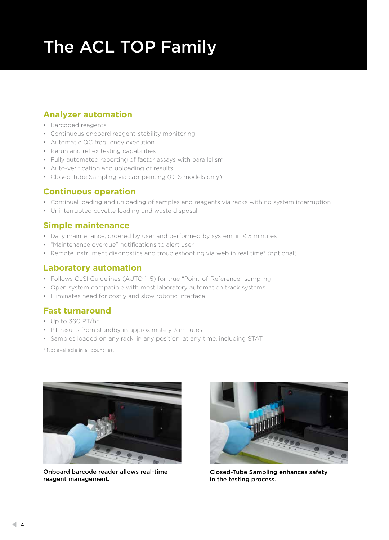# The ACL TOP Family

## **Analyzer automation**

- Barcoded reagents
- Continuous onboard reagent-stability monitoring
- Automatic QC frequency execution
- Rerun and reflex testing capabilities
- Fully automated reporting of factor assays with parallelism
- Auto-verification and uploading of results
- Closed-Tube Sampling via cap-piercing (CTS models only)

## **Continuous operation**

- Continual loading and unloading of samples and reagents via racks with no system interruption
- Uninterrupted cuvette loading and waste disposal

## **Simple maintenance**

- Daily maintenance, ordered by user and performed by system, in < 5 minutes
- "Maintenance overdue" notifications to alert user
- Remote instrument diagnostics and troubleshooting via web in real time\* (optional)

## **Laboratory automation**

- Follows CLSI Guidelines (AUTO 1–5) for true "Point-of-Reference" sampling
- Open system compatible with most laboratory automation track systems
- Eliminates need for costly and slow robotic interface

## **Fast turnaround**

- Up to 360 PT/hr
- PT results from standby in approximately 3 minutes
- Samples loaded on any rack, in any position, at any time, including STAT

\* Not available in all countries.



Onboard barcode reader allows real-time reagent management.



Closed-Tube Sampling enhances safety in the testing process.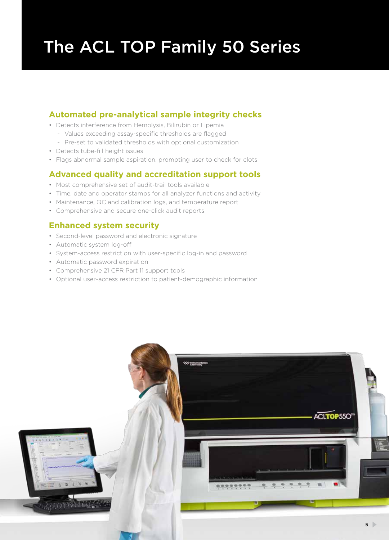# The ACL TOP Family 50 Series

## **Automated pre-analytical sample integrity checks**

- Detects interference from Hemolysis, Bilirubin or Lipemia
	- Values exceeding assay-specific thresholds are flagged
	- Pre-set to validated thresholds with optional customization
- Detects tube-fill height issues
- Flags abnormal sample aspiration, prompting user to check for clots

## **Advanced quality and accreditation support tools**

- Most comprehensive set of audit-trail tools available
- Time, date and operator stamps for all analyzer functions and activity
- Maintenance, QC and calibration logs, and temperature report
- Comprehensive and secure one-click audit reports

## **Enhanced system security**

- Second-level password and electronic signature
- Automatic system log-off
- System-access restriction with user-specific log-in and password
- Automatic password expiration
- Comprehensive 21 CFR Part 11 support tools
- Optional user-access restriction to patient-demographic information

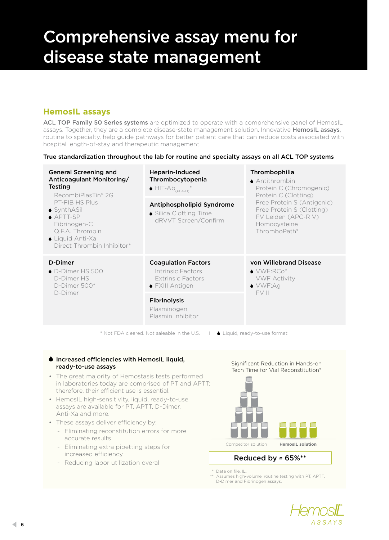## Comprehensive assay menu for disease state management

## **HemosIL assays**

ACL TOP Family 50 Series systems are optimized to operate with a comprehensive panel of HemosIL assays. Together, they are a complete disease-state management solution. Innovative HemosIL assays, routine to specialty, help guide pathways for better patient care that can reduce costs associated with hospital length-of-stay and therapeutic management.

### True standardization throughout the lab for routine and specialty assays on all ACL TOP systems

| <b>General Screening and</b><br>Anticoagulant Monitoring/<br><b>Testing</b><br>RecombiPlasTin® 2G<br>PT-FIB HS Plus<br>$\bullet$ SynthASil<br>$\triangle$ APTT-SP<br>Fibrinogen-C<br>Q.F.A. Thrombin<br>$\bullet$ Liquid Anti-Xa<br>Direct Thrombin Inhibitor* | <b>Heparin-Induced</b><br>Thrombocytopenia<br>$\bullet$ HIT-Ab <sub>(PF4-H)</sub> $*$   | Thrombophilia<br>$\triangle$ Antithrombin<br>Protein C (Chromogenic)<br>Protein C (Clotting)<br>Free Protein S (Antigenic)<br>Free Protein S (Clotting)<br>FV Leiden (APC-R V)<br>Homocysteine<br>ThromboPath* |
|----------------------------------------------------------------------------------------------------------------------------------------------------------------------------------------------------------------------------------------------------------------|-----------------------------------------------------------------------------------------|----------------------------------------------------------------------------------------------------------------------------------------------------------------------------------------------------------------|
|                                                                                                                                                                                                                                                                | Antiphospholipid Syndrome<br>• Silica Clotting Time<br>dRVVT Screen/Confirm             |                                                                                                                                                                                                                |
| D-Dimer<br>$\bullet$ D-Dimer HS 500<br>D-Dimer HS<br>D-Dimer 500*<br>D-Dimer                                                                                                                                                                                   | <b>Coagulation Factors</b><br>Intrinsic Factors<br>Extrinsic Factors<br>◆ FXIII Antigen | von Willebrand Disease<br>$\bullet$ VWF:RCo*<br><b>VWF Activity</b><br>$\bullet$ VWF:Ag<br><b>FVIII</b>                                                                                                        |
|                                                                                                                                                                                                                                                                | <b>Fibrinolysis</b><br>Plasminogen<br>Plasmin Inhibitor                                 |                                                                                                                                                                                                                |

\* Not FDA cleared. Not saleable in the U.S. |  $\blacklozenge$  Liquid, ready-to-use format.

### $\bullet$  Increased efficiencies with HemosIL liquid, ready-to-use assays

- The great majority of Hemostasis tests performed in laboratories today are comprised of PT and APTT; therefore, their efficient use is essential.
- HemosIL high-sensitivity, liquid, ready-to-use assays are available for PT, APTT, D-Dimer, Anti-Xa and more.
- These assays deliver efficiency by:
	- Eliminating reconstitution errors for more accurate results
	- Eliminating extra pipetting steps for increased efficiency
	- Reducing labor utilization overall



Significant Reduction in Hands-on

Reduced by  $\approx 65\%^{**}$ 

\* Data on file, IL.

\*\* Assumes high-volume, routine testing with PT, APTT, D-Dimer and Fibrinogen assays.

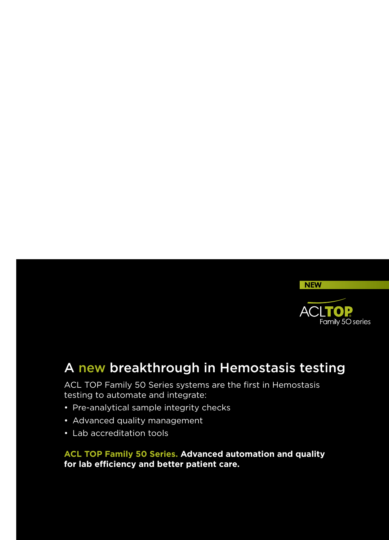

## A new breakthrough in Hemostasis testing

ACL TOP Family 50 Series systems are the first in Hemostasis testing to automate and integrate:

- Pre-analytical sample integrity checks
- Advanced quality management
- Lab accreditation tools

**ACL TOP Family 50 Series. Advanced automation and quality for lab efficiency and better patient care.**